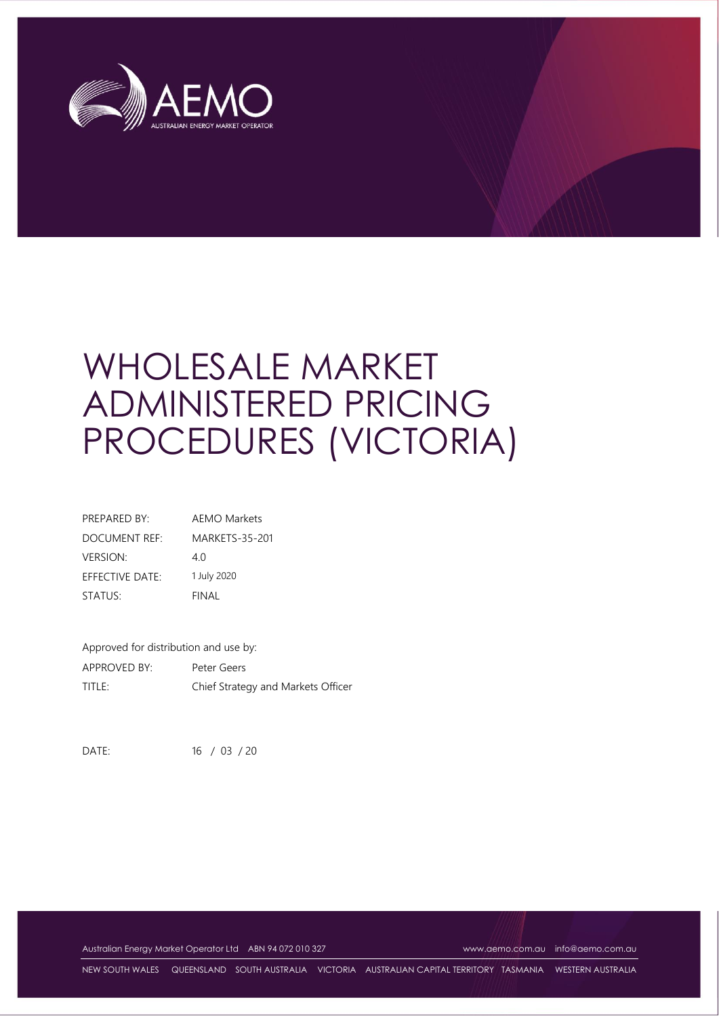

# WHOLESALE MARKET ADMINISTERED PRICING PROCEDURES (VICTORIA)

| PREPARED BY:    | <b>AEMO Markets</b>   |
|-----------------|-----------------------|
| DOCUMENT REF:   | <b>MARKETS-35-201</b> |
| <b>VERSION:</b> | 40                    |
| EFFECTIVE DATE: | 1 July 2020           |
| STATUS:         | FINAL                 |

Approved for distribution and use by: APPROVED BY: Peter Geers TITLE: Chief Strategy and Markets Officer

DATE: 16 / 03 / 20

Australian Energy Market Operator Ltd ABN 94 072 010 327 [www.aemo.com.au](http://www.aemo.com.au/) [info@aemo.com.au](mailto:info@aemo.com.au)

NEW SOUTH WALES QUEENSLAND SOUTH AUSTRALIA VICTORIA AUSTRALIAN CAPITAL TERRITORY TASMANIA WESTERN AUSTRALIA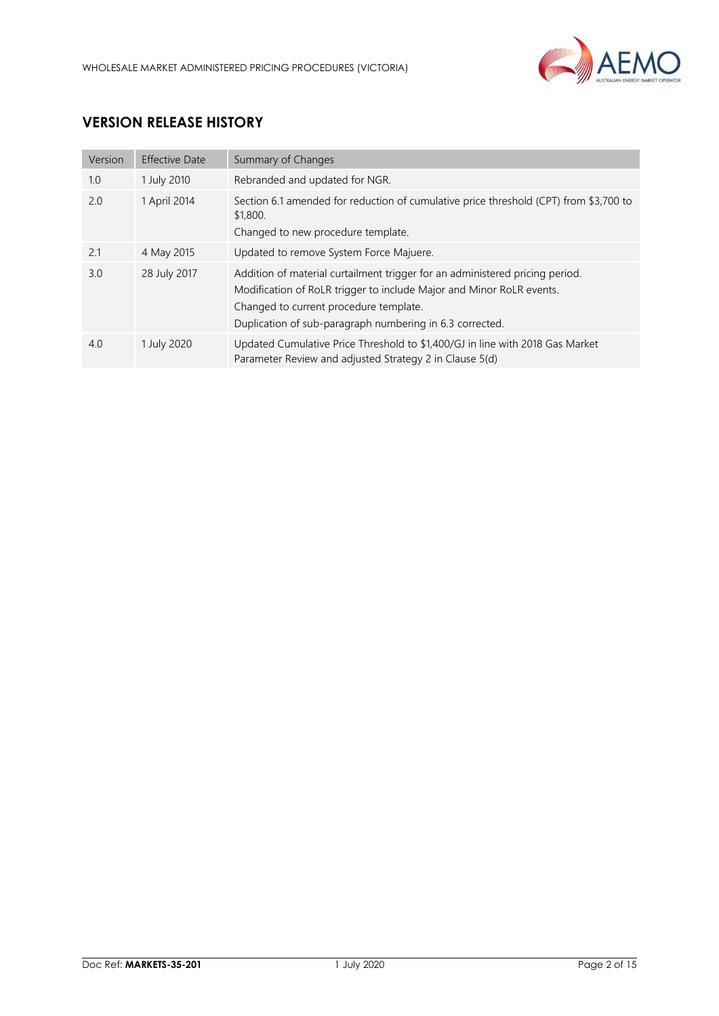

# **VERSION RELEASE HISTORY**

| Version | <b>Effective Date</b> | Summary of Changes                                                                                                                                                                                                                                         |
|---------|-----------------------|------------------------------------------------------------------------------------------------------------------------------------------------------------------------------------------------------------------------------------------------------------|
| 1.0     | 1 July 2010           | Rebranded and updated for NGR.                                                                                                                                                                                                                             |
| 2.0     | 1 April 2014          | Section 6.1 amended for reduction of cumulative price threshold (CPT) from \$3,700 to<br>\$1,800.<br>Changed to new procedure template.                                                                                                                    |
| 2.1     | 4 May 2015            | Updated to remove System Force Majuere.                                                                                                                                                                                                                    |
| 3.0     | 28 July 2017          | Addition of material curtailment trigger for an administered pricing period.<br>Modification of RoLR trigger to include Major and Minor RoLR events.<br>Changed to current procedure template.<br>Duplication of sub-paragraph numbering in 6.3 corrected. |
| 4.0     | 1 July 2020           | Updated Cumulative Price Threshold to \$1,400/GJ in line with 2018 Gas Market<br>Parameter Review and adjusted Strategy 2 in Clause 5(d)                                                                                                                   |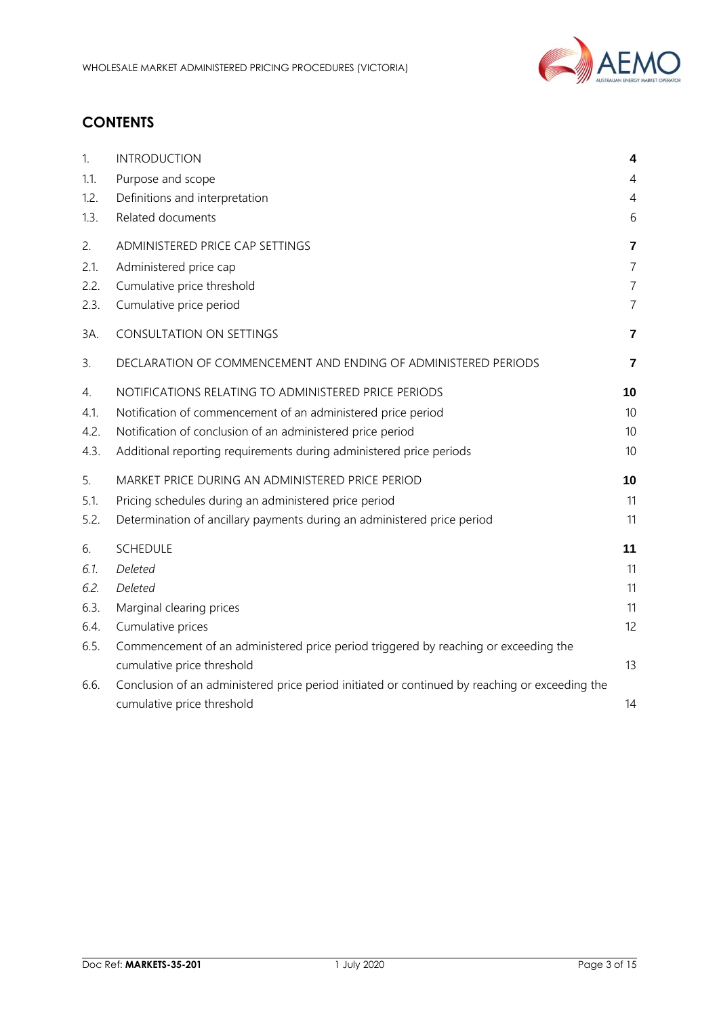

# **CONTENTS**

| 1.   | <b>INTRODUCTION</b>                                                                            | 4               |
|------|------------------------------------------------------------------------------------------------|-----------------|
| 1.1. | Purpose and scope                                                                              | 4               |
| 1.2. | Definitions and interpretation                                                                 | 4               |
| 1.3. | Related documents                                                                              | 6               |
| 2.   | ADMINISTERED PRICE CAP SETTINGS                                                                | $\overline{7}$  |
| 2.1. | Administered price cap                                                                         | $\overline{7}$  |
| 2.2. | Cumulative price threshold                                                                     | $\overline{7}$  |
| 2.3. | Cumulative price period                                                                        | $\overline{7}$  |
| 3A.  | CONSULTATION ON SETTINGS                                                                       | 7               |
| 3.   | DECLARATION OF COMMENCEMENT AND ENDING OF ADMINISTERED PERIODS                                 | 7               |
| 4.   | NOTIFICATIONS RELATING TO ADMINISTERED PRICE PERIODS                                           | 10              |
| 4.1. | Notification of commencement of an administered price period                                   | 10 <sup>°</sup> |
| 4.2. | Notification of conclusion of an administered price period                                     | 10              |
| 4.3. | Additional reporting requirements during administered price periods                            | 10              |
| 5.   | MARKET PRICE DURING AN ADMINISTERED PRICE PERIOD                                               | 10              |
| 5.1. | Pricing schedules during an administered price period                                          | 11              |
| 5.2. | Determination of ancillary payments during an administered price period                        | 11              |
| 6.   | <b>SCHEDULE</b>                                                                                | 11              |
| 6.1. | Deleted                                                                                        | 11              |
| 6.2. | Deleted                                                                                        | 11              |
| 6.3. | Marginal clearing prices                                                                       | 11              |
| 6.4. | Cumulative prices                                                                              | 12              |
| 6.5. | Commencement of an administered price period triggered by reaching or exceeding the            |                 |
|      | cumulative price threshold                                                                     | 13              |
| 6.6. | Conclusion of an administered price period initiated or continued by reaching or exceeding the |                 |
|      | cumulative price threshold                                                                     | 14              |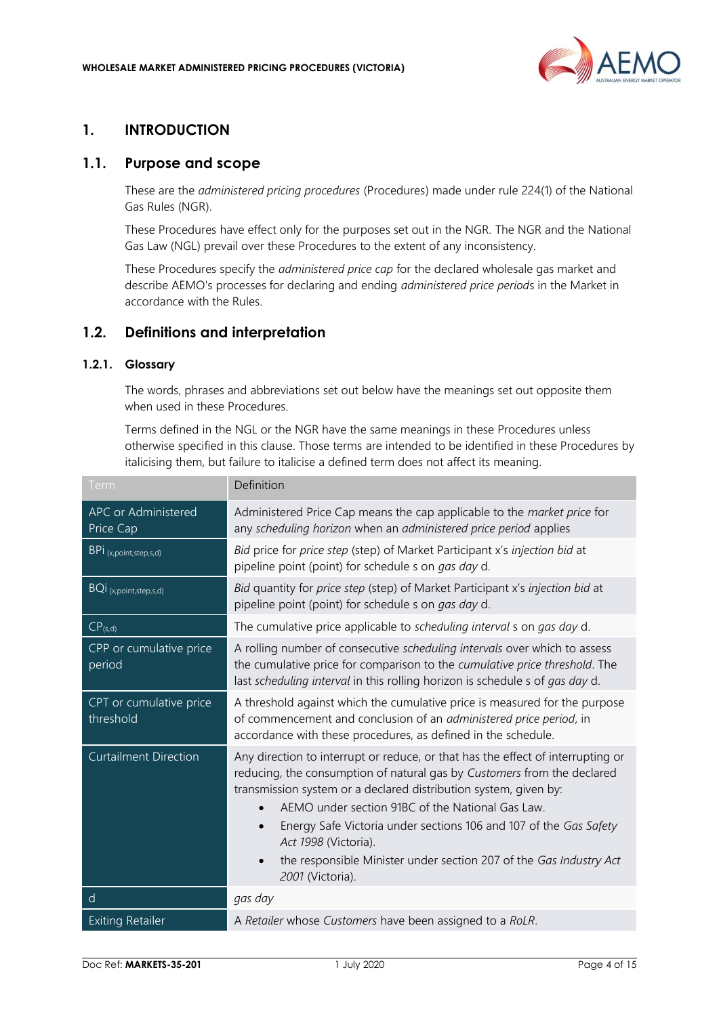

## <span id="page-3-0"></span>**1. INTRODUCTION**

### <span id="page-3-1"></span>**1.1. Purpose and scope**

These are the *administered pricing procedures* (Procedures) made under rule 224(1) of the National Gas Rules (NGR).

These Procedures have effect only for the purposes set out in the NGR. The NGR and the National Gas Law (NGL) prevail over these Procedures to the extent of any inconsistency.

These Procedures specify the *administered price cap* for the declared wholesale gas market and describe AEMO's processes for declaring and ending *administered price period*s in the Market in accordance with the Rules.

### <span id="page-3-2"></span>**1.2. Definitions and interpretation**

## **1.2.1. Glossary**

The words, phrases and abbreviations set out below have the meanings set out opposite them when used in these Procedures.

Terms defined in the NGL or the NGR have the same meanings in these Procedures unless otherwise specified in this clause. Those terms are intended to be identified in these Procedures by italicising them, but failure to italicise a defined term does not affect its meaning.

| Term                                    | Definition                                                                                                                                                                                                                                                                                                                                                                                                                                                                             |
|-----------------------------------------|----------------------------------------------------------------------------------------------------------------------------------------------------------------------------------------------------------------------------------------------------------------------------------------------------------------------------------------------------------------------------------------------------------------------------------------------------------------------------------------|
| <b>APC or Administered</b><br>Price Cap | Administered Price Cap means the cap applicable to the <i>market price</i> for<br>any scheduling horizon when an administered price period applies                                                                                                                                                                                                                                                                                                                                     |
| BPI (x,point,step,s,d)                  | Bid price for price step (step) of Market Participant x's injection bid at<br>pipeline point (point) for schedule s on <i>gas day</i> d.                                                                                                                                                                                                                                                                                                                                               |
| BQI (x,point,step,s,d)                  | Bid quantity for price step (step) of Market Participant x's injection bid at<br>pipeline point (point) for schedule s on gas day d.                                                                                                                                                                                                                                                                                                                                                   |
| $CP_{(s,d)}$                            | The cumulative price applicable to scheduling interval s on gas day d.                                                                                                                                                                                                                                                                                                                                                                                                                 |
| CPP or cumulative price<br>period       | A rolling number of consecutive scheduling intervals over which to assess<br>the cumulative price for comparison to the cumulative price threshold. The<br>last scheduling interval in this rolling horizon is schedule s of gas day d.                                                                                                                                                                                                                                                |
| CPT or cumulative price<br>threshold    | A threshold against which the cumulative price is measured for the purpose<br>of commencement and conclusion of an administered price period, in<br>accordance with these procedures, as defined in the schedule.                                                                                                                                                                                                                                                                      |
| <b>Curtailment Direction</b>            | Any direction to interrupt or reduce, or that has the effect of interrupting or<br>reducing, the consumption of natural gas by Customers from the declared<br>transmission system or a declared distribution system, given by:<br>AEMO under section 91BC of the National Gas Law.<br>Energy Safe Victoria under sections 106 and 107 of the Gas Safety<br>$\bullet$<br>Act 1998 (Victoria).<br>the responsible Minister under section 207 of the Gas Industry Act<br>2001 (Victoria). |
| d                                       | gas day                                                                                                                                                                                                                                                                                                                                                                                                                                                                                |
| <b>Exiting Retailer</b>                 | A Retailer whose Customers have been assigned to a RoLR.                                                                                                                                                                                                                                                                                                                                                                                                                               |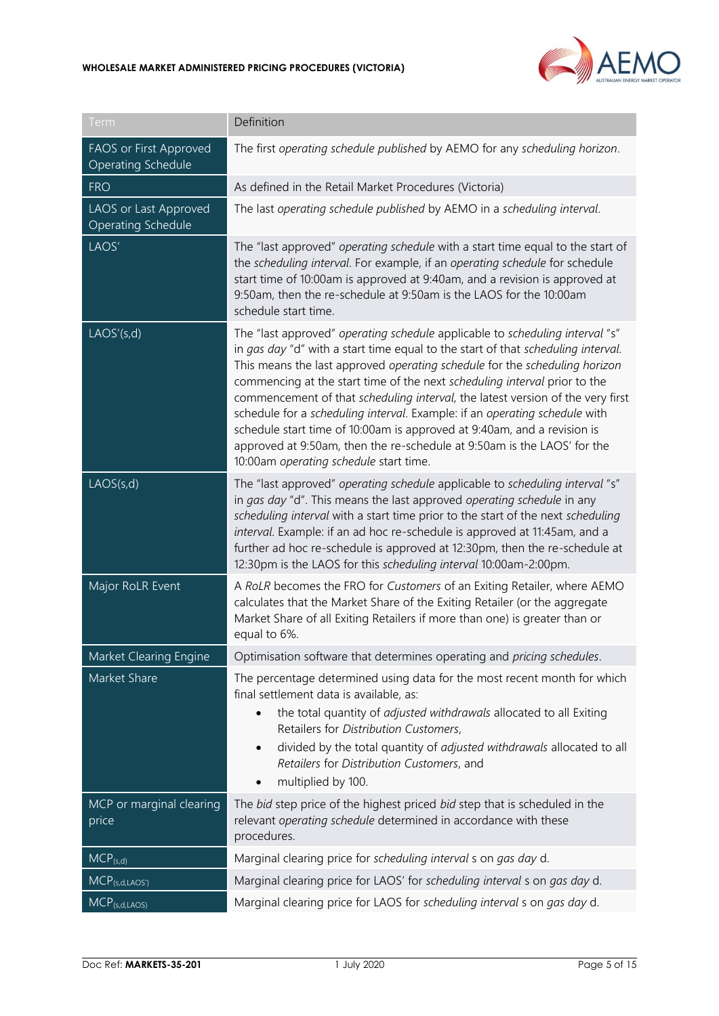

| Term                                                | Definition                                                                                                                                                                                                                                                                                                                                                                                                                                                                                                                                                                                                                                                                                  |
|-----------------------------------------------------|---------------------------------------------------------------------------------------------------------------------------------------------------------------------------------------------------------------------------------------------------------------------------------------------------------------------------------------------------------------------------------------------------------------------------------------------------------------------------------------------------------------------------------------------------------------------------------------------------------------------------------------------------------------------------------------------|
| FAOS or First Approved<br><b>Operating Schedule</b> | The first operating schedule published by AEMO for any scheduling horizon.                                                                                                                                                                                                                                                                                                                                                                                                                                                                                                                                                                                                                  |
| <b>FRO</b>                                          | As defined in the Retail Market Procedures (Victoria)                                                                                                                                                                                                                                                                                                                                                                                                                                                                                                                                                                                                                                       |
| LAOS or Last Approved<br><b>Operating Schedule</b>  | The last operating schedule published by AEMO in a scheduling interval.                                                                                                                                                                                                                                                                                                                                                                                                                                                                                                                                                                                                                     |
| LAOS'                                               | The "last approved" operating schedule with a start time equal to the start of<br>the scheduling interval. For example, if an operating schedule for schedule<br>start time of 10:00am is approved at 9:40am, and a revision is approved at<br>9:50am, then the re-schedule at 9:50am is the LAOS for the 10:00am<br>schedule start time.                                                                                                                                                                                                                                                                                                                                                   |
| LAOS'(s,d)                                          | The "last approved" operating schedule applicable to scheduling interval "s"<br>in gas day "d" with a start time equal to the start of that scheduling interval.<br>This means the last approved operating schedule for the scheduling horizon<br>commencing at the start time of the next scheduling interval prior to the<br>commencement of that scheduling interval, the latest version of the very first<br>schedule for a scheduling interval. Example: if an operating schedule with<br>schedule start time of 10:00am is approved at 9:40am, and a revision is<br>approved at 9:50am, then the re-schedule at 9:50am is the LAOS' for the<br>10:00am operating schedule start time. |
| LACS(s,d)                                           | The "last approved" operating schedule applicable to scheduling interval "s"<br>in gas day "d". This means the last approved operating schedule in any<br>scheduling interval with a start time prior to the start of the next scheduling<br>interval. Example: if an ad hoc re-schedule is approved at 11:45am, and a<br>further ad hoc re-schedule is approved at 12:30pm, then the re-schedule at<br>12:30pm is the LAOS for this scheduling interval 10:00am-2:00pm.                                                                                                                                                                                                                    |
| Major RoLR Event                                    | A RoLR becomes the FRO for Customers of an Exiting Retailer, where AEMO<br>calculates that the Market Share of the Exiting Retailer (or the aggregate<br>Market Share of all Exiting Retailers if more than one) is greater than or<br>equal to 6%.                                                                                                                                                                                                                                                                                                                                                                                                                                         |
| Market Clearing Engine                              | Optimisation software that determines operating and pricing schedules.                                                                                                                                                                                                                                                                                                                                                                                                                                                                                                                                                                                                                      |
| Market Share                                        | The percentage determined using data for the most recent month for which<br>final settlement data is available, as:<br>the total quantity of adjusted withdrawals allocated to all Exiting<br>Retailers for Distribution Customers,<br>divided by the total quantity of <i>adjusted withdrawals</i> allocated to all<br>$\bullet$<br>Retailers for Distribution Customers, and<br>multiplied by 100.<br>$\bullet$                                                                                                                                                                                                                                                                           |
| MCP or marginal clearing<br>price                   | The bid step price of the highest priced bid step that is scheduled in the<br>relevant operating schedule determined in accordance with these<br>procedures.                                                                                                                                                                                                                                                                                                                                                                                                                                                                                                                                |
| $MCP_{(s,d)}$                                       | Marginal clearing price for scheduling interval s on gas day d.                                                                                                                                                                                                                                                                                                                                                                                                                                                                                                                                                                                                                             |
| $MCP_{(s,d,LAOS')}$                                 | Marginal clearing price for LAOS' for scheduling interval s on gas day d.                                                                                                                                                                                                                                                                                                                                                                                                                                                                                                                                                                                                                   |
| $MCP_{(s,d,LAOS)}$                                  | Marginal clearing price for LAOS for scheduling interval s on gas day d.                                                                                                                                                                                                                                                                                                                                                                                                                                                                                                                                                                                                                    |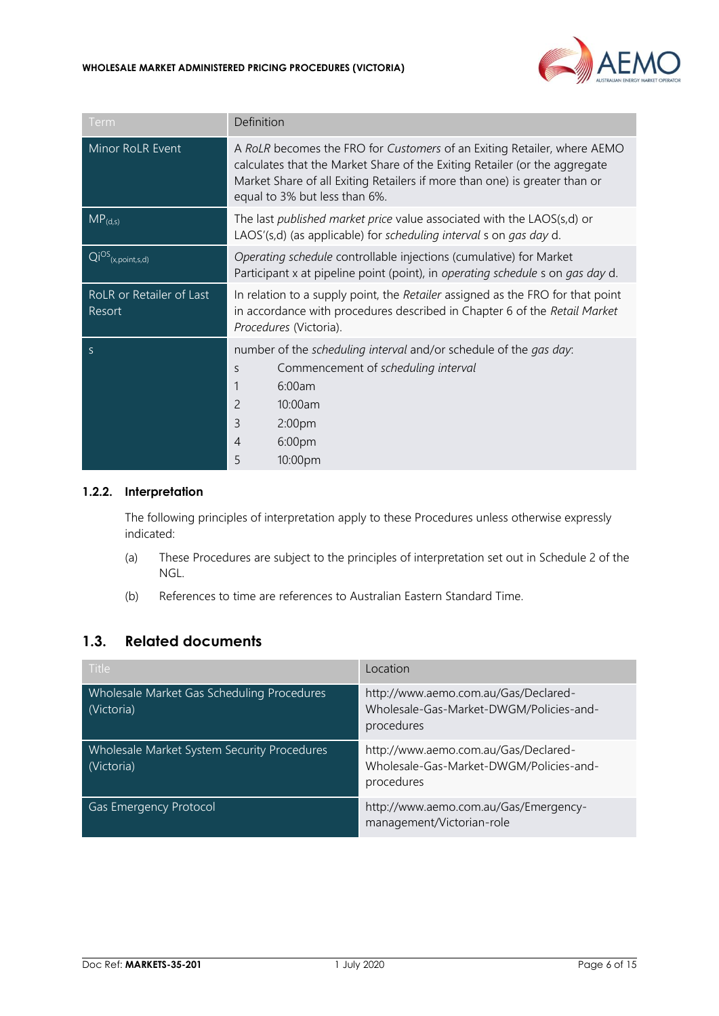

| Term                               | Definition                                                                                                                                                                                                                                                           |  |
|------------------------------------|----------------------------------------------------------------------------------------------------------------------------------------------------------------------------------------------------------------------------------------------------------------------|--|
| Minor RoLR Event                   | A RoLR becomes the FRO for Customers of an Exiting Retailer, where AEMO<br>calculates that the Market Share of the Exiting Retailer (or the aggregate<br>Market Share of all Exiting Retailers if more than one) is greater than or<br>equal to 3% but less than 6%. |  |
| $MP_{(d,s)}$                       | The last published market price value associated with the LAOS(s,d) or<br>LAOS'(s,d) (as applicable) for scheduling interval s on gas day d.                                                                                                                         |  |
| $Qi^{OS}$ (x, point, s, d)         | Operating schedule controllable injections (cumulative) for Market<br>Participant x at pipeline point (point), in operating schedule s on gas day d.                                                                                                                 |  |
| RoLR or Retailer of Last<br>Resort | In relation to a supply point, the Retailer assigned as the FRO for that point<br>in accordance with procedures described in Chapter 6 of the Retail Market<br>Procedures (Victoria).                                                                                |  |
| S                                  | number of the scheduling interval and/or schedule of the gas day:<br>Commencement of scheduling interval<br>S<br>6:00am<br>2<br>10:00am<br>3<br>2:00pm<br>6:00pm<br>$\overline{4}$<br>5<br>10:00pm                                                                   |  |

#### **1.2.2. Interpretation**

The following principles of interpretation apply to these Procedures unless otherwise expressly indicated:

- (a) These Procedures are subject to the principles of interpretation set out in Schedule 2 of the NGL.
- (b) References to time are references to Australian Eastern Standard Time.

## <span id="page-5-0"></span>**1.3. Related documents**

| <b>Title</b>                                              | Location                                                                                      |
|-----------------------------------------------------------|-----------------------------------------------------------------------------------------------|
| Wholesale Market Gas Scheduling Procedures<br>(Victoria)  | http://www.aemo.com.au/Gas/Declared-<br>Wholesale-Gas-Market-DWGM/Policies-and-<br>procedures |
| Wholesale Market System Security Procedures<br>(Victoria) | http://www.aemo.com.au/Gas/Declared-<br>Wholesale-Gas-Market-DWGM/Policies-and-<br>procedures |
| Gas Emergency Protocol                                    | http://www.aemo.com.au/Gas/Emergency-<br>management/Victorian-role                            |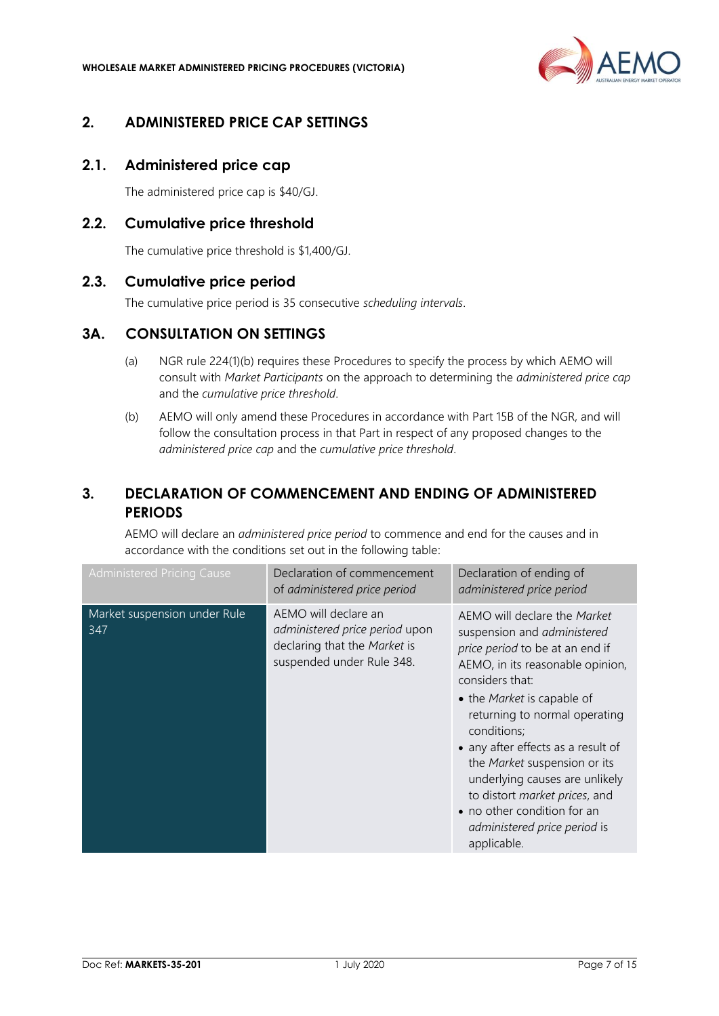

# <span id="page-6-0"></span>**2. ADMINISTERED PRICE CAP SETTINGS**

## <span id="page-6-1"></span>**2.1. Administered price cap**

The administered price cap is \$40/GJ.

## <span id="page-6-2"></span>**2.2. Cumulative price threshold**

The cumulative price threshold is \$1,400/GJ.

## <span id="page-6-3"></span>**2.3. Cumulative price period**

The cumulative price period is 35 consecutive *scheduling intervals*.

## <span id="page-6-4"></span>**3A. CONSULTATION ON SETTINGS**

- (a) NGR rule 224(1)(b) requires these Procedures to specify the process by which AEMO will consult with *Market Participants* on the approach to determining the *administered price cap* and the *cumulative price threshold*.
- (b) AEMO will only amend these Procedures in accordance with Part 15B of the NGR, and will follow the consultation process in that Part in respect of any proposed changes to the *administered price cap* and the *cumulative price threshold*.

# <span id="page-6-5"></span>**3. DECLARATION OF COMMENCEMENT AND ENDING OF ADMINISTERED PERIODS**

AEMO will declare an *administered price period* to commence and end for the causes and in accordance with the conditions set out in the following table:

| <b>Administered Pricing Cause</b>   | Declaration of commencement<br>of administered price period                                                         | Declaration of ending of<br>administered price period                                                                                                                                                                                                                                                                                                                                                                                                      |
|-------------------------------------|---------------------------------------------------------------------------------------------------------------------|------------------------------------------------------------------------------------------------------------------------------------------------------------------------------------------------------------------------------------------------------------------------------------------------------------------------------------------------------------------------------------------------------------------------------------------------------------|
| Market suspension under Rule<br>347 | AEMO will declare an<br>administered price period upon<br>declaring that the Market is<br>suspended under Rule 348. | AEMO will declare the Market<br>suspension and administered<br>price period to be at an end if<br>AEMO, in its reasonable opinion,<br>considers that:<br>• the Market is capable of<br>returning to normal operating<br>conditions:<br>• any after effects as a result of<br>the Market suspension or its<br>underlying causes are unlikely<br>to distort market prices, and<br>• no other condition for an<br>administered price period is<br>applicable. |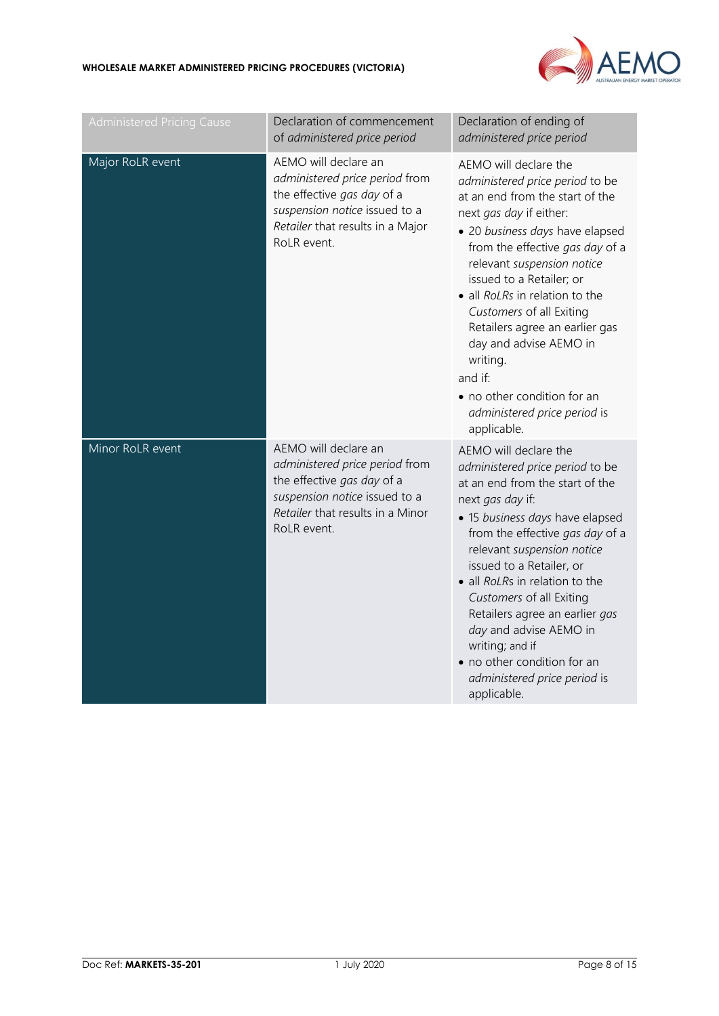

| <b>Administered Pricing Cause</b> | Declaration of commencement<br>of administered price period                                                                                                              | Declaration of ending of<br>administered price period                                                                                                                                                                                                                                                                                                                                                                                                                                 |
|-----------------------------------|--------------------------------------------------------------------------------------------------------------------------------------------------------------------------|---------------------------------------------------------------------------------------------------------------------------------------------------------------------------------------------------------------------------------------------------------------------------------------------------------------------------------------------------------------------------------------------------------------------------------------------------------------------------------------|
| Major RoLR event                  | AEMO will declare an<br>administered price period from<br>the effective gas day of a<br>suspension notice issued to a<br>Retailer that results in a Major<br>RoLR event. | AEMO will declare the<br>administered price period to be<br>at an end from the start of the<br>next gas day if either:<br>· 20 business days have elapsed<br>from the effective gas day of a<br>relevant suspension notice<br>issued to a Retailer; or<br>• all RoLRs in relation to the<br>Customers of all Exiting<br>Retailers agree an earlier gas<br>day and advise AEMO in<br>writing.<br>and if:<br>• no other condition for an<br>administered price period is<br>applicable. |
| Minor RoLR event                  | AEMO will declare an<br>administered price period from<br>the effective gas day of a<br>suspension notice issued to a<br>Retailer that results in a Minor<br>RoLR event. | AEMO will declare the<br>administered price period to be<br>at an end from the start of the<br>next gas day if:<br>• 15 business days have elapsed<br>from the effective gas day of a<br>relevant suspension notice<br>issued to a Retailer, or<br>• all RoLRs in relation to the<br>Customers of all Exiting<br>Retailers agree an earlier gas<br>day and advise AEMO in<br>writing; and if<br>• no other condition for an<br>administered price period is<br>applicable.            |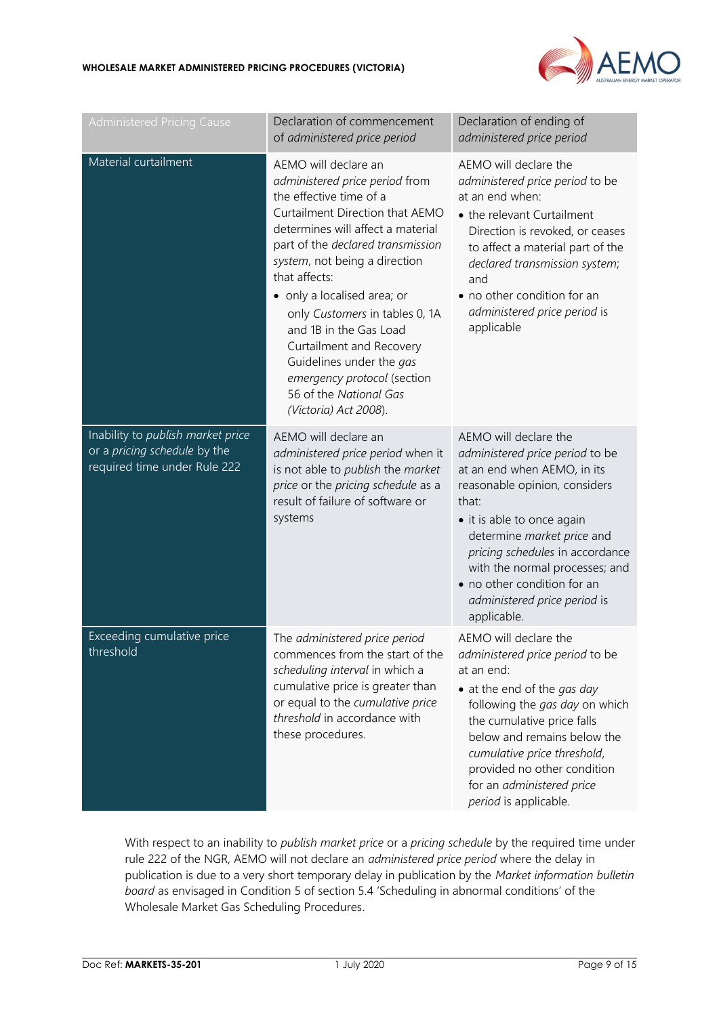

| <b>Administered Pricing Cause</b>                                                                 | Declaration of commencement<br>of administered price period                                                                                                                                                                                                                                                                                                                                                                                                                           | Declaration of ending of<br>administered price period                                                                                                                                                                                                                                                                                            |
|---------------------------------------------------------------------------------------------------|---------------------------------------------------------------------------------------------------------------------------------------------------------------------------------------------------------------------------------------------------------------------------------------------------------------------------------------------------------------------------------------------------------------------------------------------------------------------------------------|--------------------------------------------------------------------------------------------------------------------------------------------------------------------------------------------------------------------------------------------------------------------------------------------------------------------------------------------------|
| Material curtailment                                                                              | AEMO will declare an<br>administered price period from<br>the effective time of a<br>Curtailment Direction that AEMO<br>determines will affect a material<br>part of the declared transmission<br>system, not being a direction<br>that affects:<br>• only a localised area; or<br>only Customers in tables 0, 1A<br>and 1B in the Gas Load<br>Curtailment and Recovery<br>Guidelines under the gas<br>emergency protocol (section<br>56 of the National Gas<br>(Victoria) Act 2008). | AEMO will declare the<br>administered price period to be<br>at an end when:<br>• the relevant Curtailment<br>Direction is revoked, or ceases<br>to affect a material part of the<br>declared transmission system;<br>and<br>• no other condition for an<br>administered price period is<br>applicable                                            |
| Inability to publish market price<br>or a pricing schedule by the<br>required time under Rule 222 | AEMO will declare an<br>administered price period when it<br>is not able to publish the market<br>price or the pricing schedule as a<br>result of failure of software or<br>systems                                                                                                                                                                                                                                                                                                   | AEMO will declare the<br>administered price period to be<br>at an end when AEMO, in its<br>reasonable opinion, considers<br>that:<br>• it is able to once again<br>determine market price and<br>pricing schedules in accordance<br>with the normal processes; and<br>• no other condition for an<br>administered price period is<br>applicable. |
| Exceeding cumulative price<br>threshold                                                           | The administered price period<br>commences from the start of the<br>scheduling interval in which a<br>cumulative price is greater than<br>or equal to the cumulative price<br>threshold in accordance with<br>these procedures.                                                                                                                                                                                                                                                       | AEMO will declare the<br><i>administered price period to be</i><br>at an end:<br>• at the end of the gas day<br>following the gas day on which<br>the cumulative price falls<br>below and remains below the<br>cumulative price threshold,<br>provided no other condition<br>for an administered price<br>period is applicable.                  |

With respect to an inability to *publish market price* or a *pricing schedule* by the required time under rule 222 of the NGR, AEMO will not declare an *administered price period* where the delay in publication is due to a very short temporary delay in publication by the *Market information bulletin board* as envisaged in Condition 5 of section 5.4 'Scheduling in abnormal conditions' of the Wholesale Market Gas Scheduling Procedures.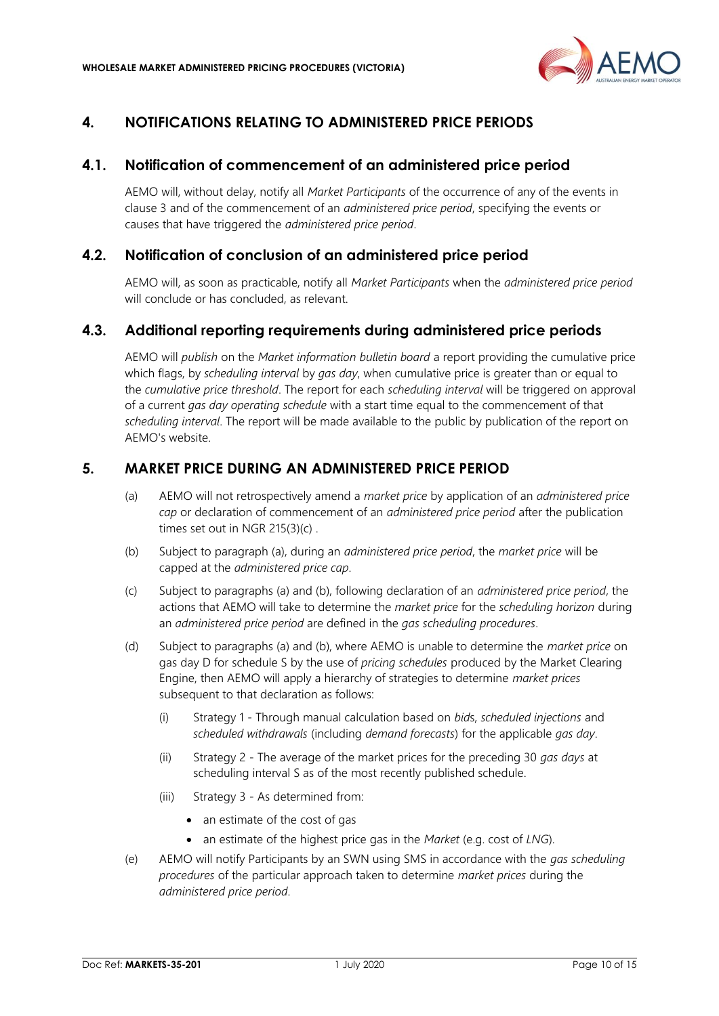

# <span id="page-9-0"></span>**4. NOTIFICATIONS RELATING TO ADMINISTERED PRICE PERIODS**

## <span id="page-9-1"></span>**4.1. Notification of commencement of an administered price period**

AEMO will, without delay, notify all *Market Participants* of the occurrence of any of the events in clause 3 and of the commencement of an *administered price period*, specifying the events or causes that have triggered the *administered price period*.

## <span id="page-9-2"></span>**4.2. Notification of conclusion of an administered price period**

AEMO will, as soon as practicable, notify all *Market Participants* when the *administered price period* will conclude or has concluded, as relevant.

## <span id="page-9-3"></span>**4.3. Additional reporting requirements during administered price periods**

AEMO will *publish* on the *Market information bulletin board* a report providing the cumulative price which flags, by *scheduling interval* by *gas day*, when cumulative price is greater than or equal to the *cumulative price threshold*. The report for each *scheduling interval* will be triggered on approval of a current *gas day operating schedule* with a start time equal to the commencement of that *scheduling interval*. The report will be made available to the public by publication of the report on AEMO's website.

## <span id="page-9-4"></span>**5. MARKET PRICE DURING AN ADMINISTERED PRICE PERIOD**

- (a) AEMO will not retrospectively amend a *market price* by application of an *administered price cap* or declaration of commencement of an *administered price period* after the publication times set out in NGR 215(3)(c) .
- (b) Subject to paragraph (a), during an *administered price period*, the *market price* will be capped at the *administered price cap*.
- (c) Subject to paragraphs (a) and (b), following declaration of an *administered price period*, the actions that AEMO will take to determine the *market price* for the *scheduling horizon* during an *administered price period* are defined in the *gas scheduling procedures*.
- (d) Subject to paragraphs (a) and (b), where AEMO is unable to determine the *market price* on gas day D for schedule S by the use of *pricing schedules* produced by the Market Clearing Engine, then AEMO will apply a hierarchy of strategies to determine *market prices* subsequent to that declaration as follows:
	- (i) Strategy 1 Through manual calculation based on *bid*s, *scheduled injections* and *scheduled withdrawals* (including *demand forecasts*) for the applicable *gas day*.
	- (ii) Strategy 2 The average of the market prices for the preceding 30 *gas days* at scheduling interval S as of the most recently published schedule.
	- (iii) Strategy 3 As determined from:
		- an estimate of the cost of gas
		- an estimate of the highest price gas in the *Market* (e.g. cost of *LNG*).
- (e) AEMO will notify Participants by an SWN using SMS in accordance with the *gas scheduling procedures* of the particular approach taken to determine *market prices* during the *administered price period*.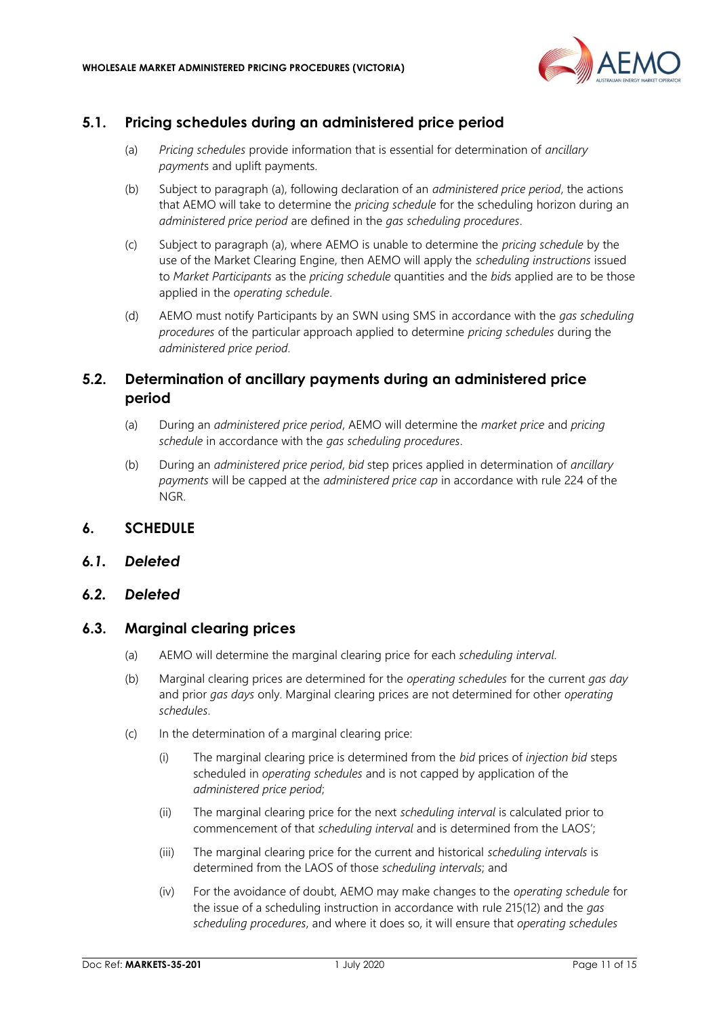

## <span id="page-10-0"></span>**5.1. Pricing schedules during an administered price period**

- (a) *Pricing schedules* provide information that is essential for determination of *ancillary payment*s and uplift payments.
- (b) Subject to paragraph (a), following declaration of an *administered price period*, the actions that AEMO will take to determine the *pricing schedule* for the scheduling horizon during an *administered price period* are defined in the *gas scheduling procedures*.
- (c) Subject to paragraph (a), where AEMO is unable to determine the *pricing schedule* by the use of the Market Clearing Engine, then AEMO will apply the *scheduling instructions* issued to *Market Participants* as the *pricing schedule* quantities and the *bid*s applied are to be those applied in the *operating schedule*.
- (d) AEMO must notify Participants by an SWN using SMS in accordance with the *gas scheduling procedures* of the particular approach applied to determine *pricing schedules* during the *administered price period*.

# <span id="page-10-1"></span>**5.2. Determination of ancillary payments during an administered price period**

- (a) During an *administered price period*, AEMO will determine the *market price* and *pricing schedule* in accordance with the *gas scheduling procedures*.
- (b) During an *administered price period*, *bid* step prices applied in determination of *ancillary payments* will be capped at the *administered price cap* in accordance with rule 224 of the NGR.

## <span id="page-10-2"></span>**6. SCHEDULE**

<span id="page-10-3"></span>*6.1. Deleted*

#### <span id="page-10-4"></span>*6.2. Deleted*

## <span id="page-10-5"></span>**6.3. Marginal clearing prices**

- (a) AEMO will determine the marginal clearing price for each *scheduling interval*.
- (b) Marginal clearing prices are determined for the *operating schedules* for the current *gas day* and prior *gas days* only. Marginal clearing prices are not determined for other *operating schedules*.
- (c) In the determination of a marginal clearing price:
	- (i) The marginal clearing price is determined from the *bid* prices of *injection bid* steps scheduled in *operating schedules* and is not capped by application of the *administered price period*;
	- (ii) The marginal clearing price for the next *scheduling interval* is calculated prior to commencement of that *scheduling interval* and is determined from the LAOS';
	- (iii) The marginal clearing price for the current and historical *scheduling intervals* is determined from the LAOS of those *scheduling intervals*; and
	- (iv) For the avoidance of doubt, AEMO may make changes to the *operating schedule* for the issue of a scheduling instruction in accordance with rule 215(12) and the *gas scheduling procedures*, and where it does so, it will ensure that *operating schedules*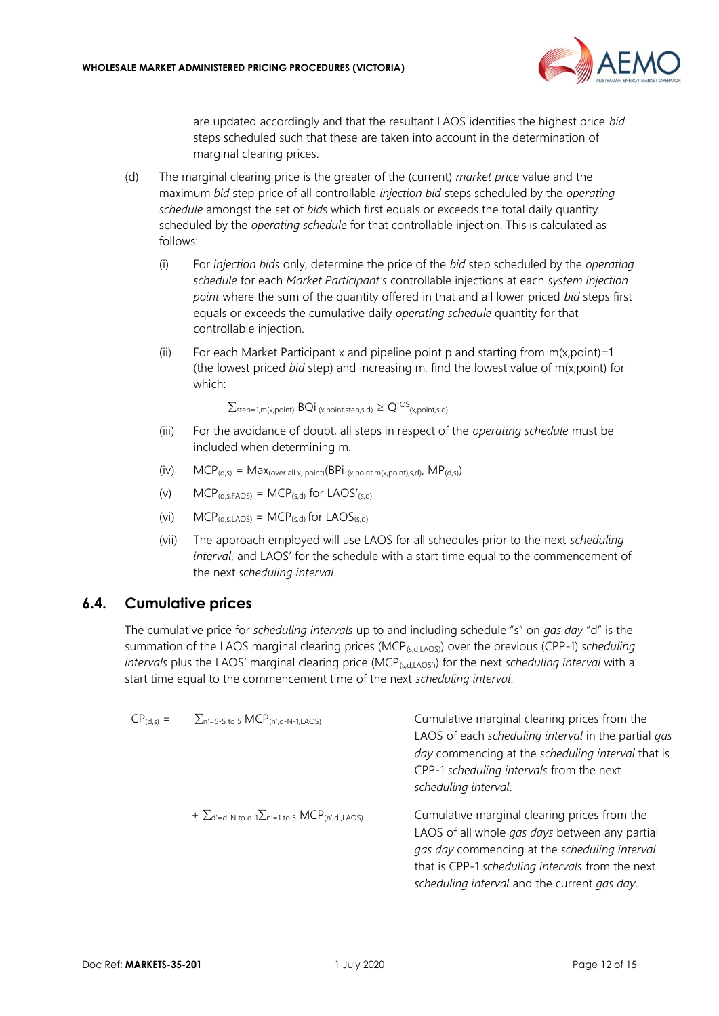

are updated accordingly and that the resultant LAOS identifies the highest price *bid* steps scheduled such that these are taken into account in the determination of marginal clearing prices.

- (d) The marginal clearing price is the greater of the (current) *market price* value and the maximum *bid* step price of all controllable *injection bid* steps scheduled by the *operating schedule* amongst the set of *bid*s which first equals or exceeds the total daily quantity scheduled by the *operating schedule* for that controllable injection. This is calculated as follows:
	- (i) For *injection bids* only, determine the price of the *bid* step scheduled by the *operating schedule* for each *Market Participant's* controllable injections at each *system injection point* where the sum of the quantity offered in that and all lower priced *bid* steps first equals or exceeds the cumulative daily *operating schedule* quantity for that controllable injection.
	- (ii) For each Market Participant x and pipeline point p and starting from  $m(x, \text{point})=1$ (the lowest priced *bid* step) and increasing m, find the lowest value of m(x,point) for which:

 $\sum_{step=1,m(x,point)}$  BQi  $_{(x,point,step,s,d)}$   $\ge$  Qi<sup>OS</sup> $_{(x,point,s,d)}$ 

- (iii) For the avoidance of doubt, all steps in respect of the *operating schedule* must be included when determining m.
- (iv)  $MCP_{(d,s)} = Max_{(over all x, point)}(BPi_{(x, point)(x, point), s, d)}$ ,  $MP_{(d,s)}$ )
- (v)  $MCP_{(d,s,FAOS)} = MCP_{(s,d)}$  for LAOS'(s,d)
- (vi)  $MCP_{(d,s,LAOS)} = MCP_{(s,d)}$  for  $LAOS_{(s,d)}$
- (vii) The approach employed will use LAOS for all schedules prior to the next *scheduling interval*, and LAOS' for the schedule with a start time equal to the commencement of the next *scheduling interval*.

## <span id="page-11-0"></span>**6.4. Cumulative prices**

The cumulative price for *scheduling intervals* up to and including schedule "s" on *gas day* "d" is the summation of the LAOS marginal clearing prices (MCP(s,d,LAOS)) over the previous (CPP-1) *scheduling intervals* plus the LAOS' marginal clearing price (MCP<sub>(s,d,LAOS)</sub>) for the next *scheduling interval* with a start time equal to the commencement time of the next *scheduling interval*:

| $CP_{(d,s)} =$ | $\sum_{n'=5-S}$ to 5 MCP(n',d-N-1,LAOS)                                        | Cumulative marginal clearing prices from the<br>LAOS of each scheduling interval in the partial gas<br>day commencing at the scheduling interval that is<br>CPP-1 scheduling intervals from the next<br>scheduling interval.                        |
|----------------|--------------------------------------------------------------------------------|-----------------------------------------------------------------------------------------------------------------------------------------------------------------------------------------------------------------------------------------------------|
|                | $+ \sum_{d'=d-N \text{ to } d-1} \sum_{n'=1 \text{ to } 5} MCP_{(n',d',LAOS)}$ | Cumulative marginal clearing prices from the<br>LAOS of all whole gas days between any partial<br>gas day commencing at the scheduling interval<br>that is CPP-1 scheduling intervals from the next<br>scheduling interval and the current gas day. |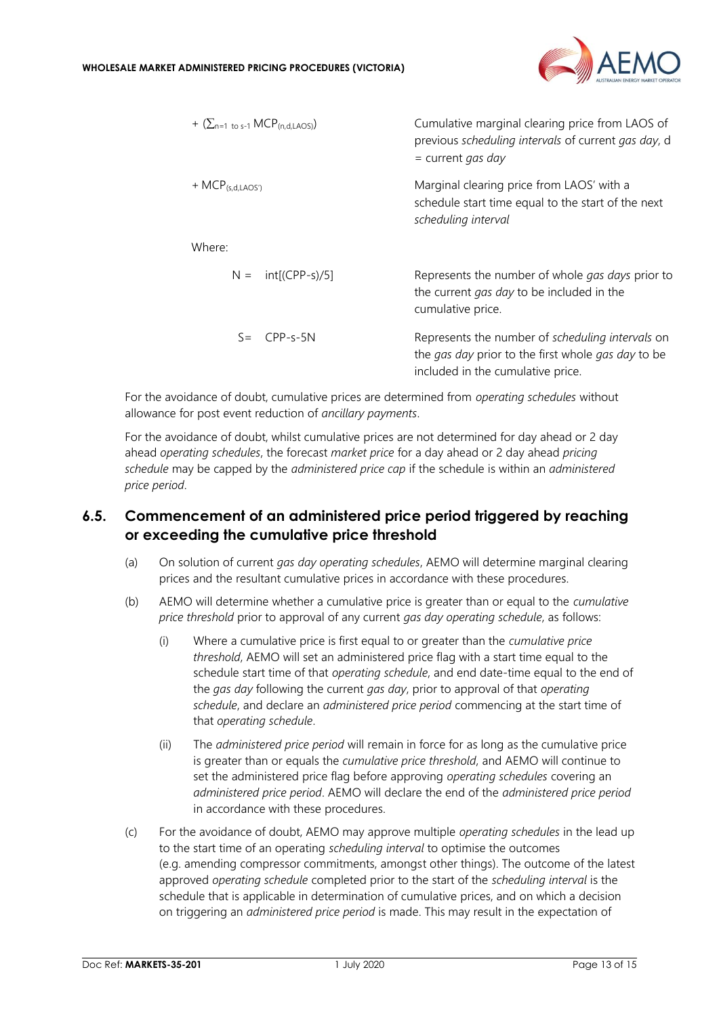

| + $(\sum_{n=1}^{n} \text{to } s-1 \text{ MCP}_{(n,d,LAOS)})$ | Cumulative marginal clearing price from LAOS of<br>previous scheduling intervals of current gas day, d<br>$=$ current gas day               |  |
|--------------------------------------------------------------|---------------------------------------------------------------------------------------------------------------------------------------------|--|
| $+ MCP(s,d,LAOS')$                                           | Marginal clearing price from LAOS' with a<br>schedule start time equal to the start of the next<br>scheduling interval                      |  |
| Where:                                                       |                                                                                                                                             |  |
| $N = \int (CPP-s)/5$                                         | Represents the number of whole <i>gas days</i> prior to<br>the current gas day to be included in the<br>cumulative price.                   |  |
| $S = CPP-S-5N$                                               | Represents the number of scheduling intervals on<br>the gas day prior to the first whole gas day to be<br>included in the cumulative price. |  |
|                                                              |                                                                                                                                             |  |

For the avoidance of doubt, cumulative prices are determined from *operating schedules* without allowance for post event reduction of *ancillary payments*.

For the avoidance of doubt, whilst cumulative prices are not determined for day ahead or 2 day ahead *operating schedules*, the forecast *market price* for a day ahead or 2 day ahead *pricing schedule* may be capped by the *administered price cap* if the schedule is within an *administered price period*.

## <span id="page-12-0"></span>**6.5. Commencement of an administered price period triggered by reaching or exceeding the cumulative price threshold**

- (a) On solution of current *gas day operating schedules*, AEMO will determine marginal clearing prices and the resultant cumulative prices in accordance with these procedures.
- (b) AEMO will determine whether a cumulative price is greater than or equal to the *cumulative price threshold* prior to approval of any current *gas day operating schedule*, as follows:
	- (i) Where a cumulative price is first equal to or greater than the *cumulative price threshold*, AEMO will set an administered price flag with a start time equal to the schedule start time of that *operating schedule*, and end date-time equal to the end of the *gas day* following the current *gas day*, prior to approval of that *operating schedule*, and declare an *administered price period* commencing at the start time of that *operating schedule*.
	- (ii) The *administered price period* will remain in force for as long as the cumulative price is greater than or equals the *cumulative price threshold*, and AEMO will continue to set the administered price flag before approving *operating schedules* covering an *administered price period*. AEMO will declare the end of the *administered price period* in accordance with these procedures.
- (c) For the avoidance of doubt, AEMO may approve multiple *operating schedules* in the lead up to the start time of an operating *scheduling interval* to optimise the outcomes (e.g. amending compressor commitments, amongst other things). The outcome of the latest approved *operating schedule* completed prior to the start of the *scheduling interval* is the schedule that is applicable in determination of cumulative prices, and on which a decision on triggering an *administered price period* is made. This may result in the expectation of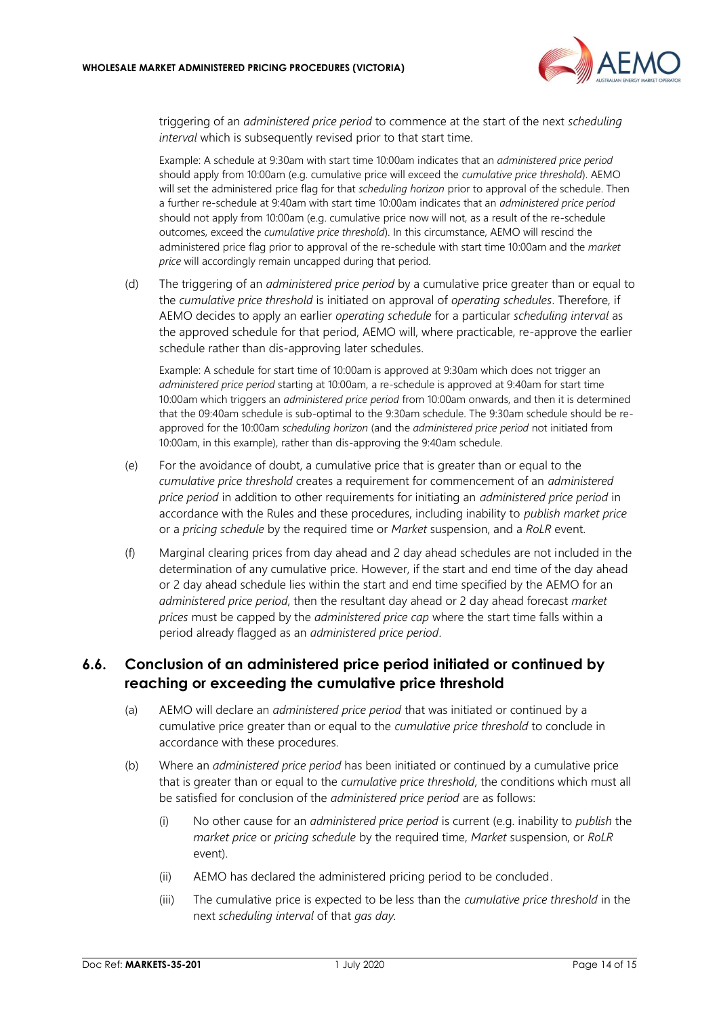

triggering of an *administered price period* to commence at the start of the next *scheduling interval* which is subsequently revised prior to that start time.

Example: A schedule at 9:30am with start time 10:00am indicates that an *administered price period* should apply from 10:00am (e.g. cumulative price will exceed the *cumulative price threshold*). AEMO will set the administered price flag for that *scheduling horizon* prior to approval of the schedule. Then a further re-schedule at 9:40am with start time 10:00am indicates that an *administered price period* should not apply from 10:00am (e.g. cumulative price now will not, as a result of the re-schedule outcomes, exceed the *cumulative price threshold*). In this circumstance, AEMO will rescind the administered price flag prior to approval of the re-schedule with start time 10:00am and the *market price* will accordingly remain uncapped during that period.

(d) The triggering of an *administered price period* by a cumulative price greater than or equal to the *cumulative price threshold* is initiated on approval of *operating schedules*. Therefore, if AEMO decides to apply an earlier *operating schedule* for a particular *scheduling interval* as the approved schedule for that period, AEMO will, where practicable, re-approve the earlier schedule rather than dis-approving later schedules.

Example: A schedule for start time of 10:00am is approved at 9:30am which does not trigger an *administered price period* starting at 10:00am, a re-schedule is approved at 9:40am for start time 10:00am which triggers an *administered price period* from 10:00am onwards, and then it is determined that the 09:40am schedule is sub-optimal to the 9:30am schedule. The 9:30am schedule should be reapproved for the 10:00am *scheduling horizon* (and the *administered price period* not initiated from 10:00am, in this example), rather than dis-approving the 9:40am schedule.

- (e) For the avoidance of doubt, a cumulative price that is greater than or equal to the *cumulative price threshold* creates a requirement for commencement of an *administered price period* in addition to other requirements for initiating an *administered price period* in accordance with the Rules and these procedures, including inability to *publish market price* or a *pricing schedule* by the required time or *Market* suspension, and a *RoLR* event.
- (f) Marginal clearing prices from day ahead and 2 day ahead schedules are not included in the determination of any cumulative price. However, if the start and end time of the day ahead or 2 day ahead schedule lies within the start and end time specified by the AEMO for an *administered price period*, then the resultant day ahead or 2 day ahead forecast *market prices* must be capped by the *administered price cap* where the start time falls within a period already flagged as an *administered price period*.

# <span id="page-13-0"></span>**6.6. Conclusion of an administered price period initiated or continued by reaching or exceeding the cumulative price threshold**

- (a) AEMO will declare an *administered price period* that was initiated or continued by a cumulative price greater than or equal to the *cumulative price threshold* to conclude in accordance with these procedures.
- (b) Where an *administered price period* has been initiated or continued by a cumulative price that is greater than or equal to the *cumulative price threshold*, the conditions which must all be satisfied for conclusion of the *administered price period* are as follows:
	- (i) No other cause for an *administered price period* is current (e.g. inability to *publish* the *market price* or *pricing schedule* by the required time, *Market* suspension, or *RoLR* event).
	- (ii) AEMO has declared the administered pricing period to be concluded.
	- (iii) The cumulative price is expected to be less than the *cumulative price threshold* in the next *scheduling interval* of that *gas day.*